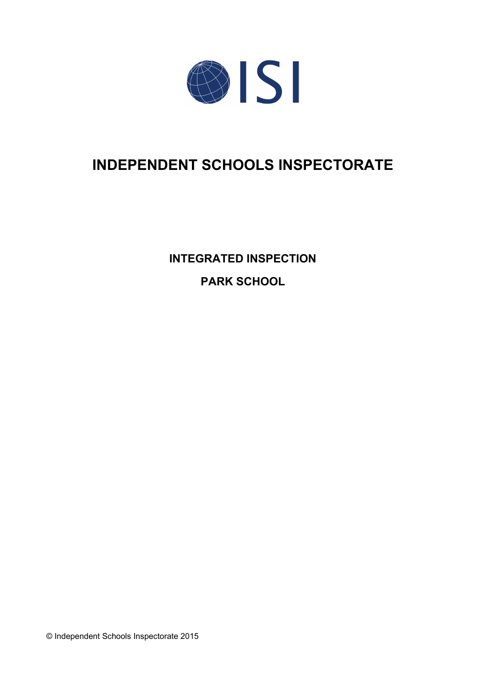

# **INDEPENDENT SCHOOLS INSPECTORATE**

**INTEGRATED INSPECTION PARK SCHOOL**

© Independent Schools Inspectorate 2015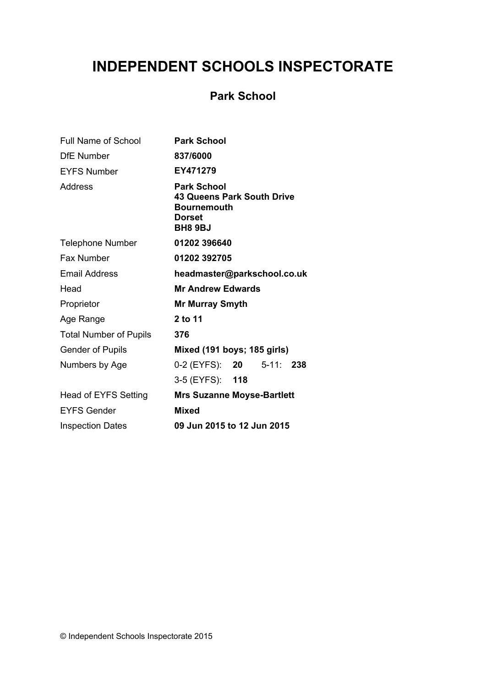# **INDEPENDENT SCHOOLS INSPECTORATE**

# **Park School**

| <b>Full Name of School</b>    | <b>Park School</b>                                                                                               |
|-------------------------------|------------------------------------------------------------------------------------------------------------------|
| <b>DfE</b> Number             | 837/6000                                                                                                         |
| <b>EYFS Number</b>            | EY471279                                                                                                         |
| <b>Address</b>                | <b>Park School</b><br><b>43 Queens Park South Drive</b><br><b>Bournemouth</b><br><b>Dorset</b><br><b>BH8 9BJ</b> |
| <b>Telephone Number</b>       | 01202 396640                                                                                                     |
| <b>Fax Number</b>             | 01202 392705                                                                                                     |
| <b>Email Address</b>          | headmaster@parkschool.co.uk                                                                                      |
| Head                          | <b>Mr Andrew Edwards</b>                                                                                         |
| Proprietor                    | <b>Mr Murray Smyth</b>                                                                                           |
| Age Range                     | 2 to 11                                                                                                          |
| <b>Total Number of Pupils</b> | 376                                                                                                              |
| <b>Gender of Pupils</b>       | Mixed (191 boys; 185 girls)                                                                                      |
| Numbers by Age                | 0-2 (EYFS): <b>20</b><br>$5-11: 238$                                                                             |
|                               | 3-5 (EYFS): 118                                                                                                  |
| Head of EYFS Setting          | <b>Mrs Suzanne Moyse-Bartlett</b>                                                                                |
| <b>EYFS Gender</b>            | <b>Mixed</b>                                                                                                     |
| <b>Inspection Dates</b>       | 09 Jun 2015 to 12 Jun 2015                                                                                       |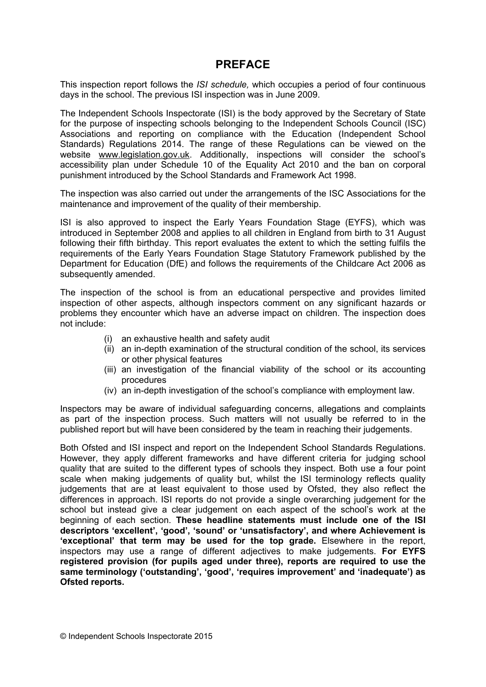## **PREFACE**

This inspection report follows the *ISI schedule,* which occupies a period of four continuous days in the school. The previous ISI inspection was in June 2009.

The Independent Schools Inspectorate (ISI) is the body approved by the Secretary of State for the purpose of inspecting schools belonging to the Independent Schools Council (ISC) Associations and reporting on compliance with the Education (Independent School Standards) Regulations 2014. The range of these Regulations can be viewed on the website [www.legislation.gov.uk](http://www.legislation.gov.uk). Additionally, inspections will consider the school's accessibility plan under Schedule 10 of the Equality Act 2010 and the ban on corporal punishment introduced by the School Standards and Framework Act 1998.

The inspection was also carried out under the arrangements of the ISC Associations for the maintenance and improvement of the quality of their membership.

ISI is also approved to inspect the Early Years Foundation Stage (EYFS), which was introduced in September 2008 and applies to all children in England from birth to 31 August following their fifth birthday. This report evaluates the extent to which the setting fulfils the requirements of the Early Years Foundation Stage Statutory Framework published by the Department for Education (DfE) and follows the requirements of the Childcare Act 2006 as subsequently amended.

The inspection of the school is from an educational perspective and provides limited inspection of other aspects, although inspectors comment on any significant hazards or problems they encounter which have an adverse impact on children. The inspection does not include:

- (i) an exhaustive health and safety audit
- (ii) an in-depth examination of the structural condition of the school, its services or other physical features
- (iii) an investigation of the financial viability of the school or its accounting procedures
- (iv) an in-depth investigation of the school's compliance with employment law.

Inspectors may be aware of individual safeguarding concerns, allegations and complaints as part of the inspection process. Such matters will not usually be referred to in the published report but will have been considered by the team in reaching their judgements.

Both Ofsted and ISI inspect and report on the Independent School Standards Regulations. However, they apply different frameworks and have different criteria for judging school quality that are suited to the different types of schools they inspect. Both use a four point scale when making judgements of quality but, whilst the ISI terminology reflects quality judgements that are at least equivalent to those used by Ofsted, they also reflect the differences in approach. ISI reports do not provide a single overarching judgement for the school but instead give a clear judgement on each aspect of the school's work at the beginning of each section. **These headline statements must include one of the ISI descriptors 'excellent', 'good', 'sound' or 'unsatisfactory', and where Achievement is 'exceptional' that term may be used for the top grade.** Elsewhere in the report, inspectors may use a range of different adjectives to make judgements. **For EYFS registered provision (for pupils aged under three), reports are required to use the same terminology ('outstanding', 'good', 'requires improvement' and 'inadequate') as Ofsted reports.**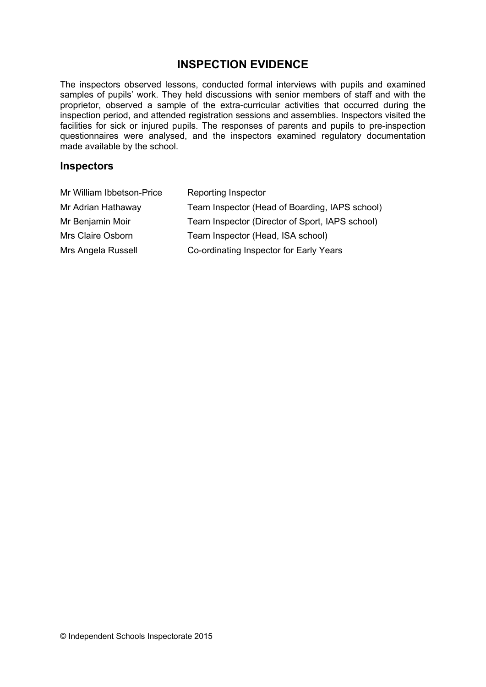# **INSPECTION EVIDENCE**

The inspectors observed lessons, conducted formal interviews with pupils and examined samples of pupils' work. They held discussions with senior members of staff and with the proprietor, observed a sample of the extra-curricular activities that occurred during the inspection period, and attended registration sessions and assemblies. Inspectors visited the facilities for sick or injured pupils. The responses of parents and pupils to pre-inspection questionnaires were analysed, and the inspectors examined regulatory documentation made available by the school.

#### **Inspectors**

| Mr William Ibbetson-Price | <b>Reporting Inspector</b>                      |
|---------------------------|-------------------------------------------------|
| Mr Adrian Hathaway        | Team Inspector (Head of Boarding, IAPS school)  |
| Mr Benjamin Moir          | Team Inspector (Director of Sport, IAPS school) |
| Mrs Claire Osborn         | Team Inspector (Head, ISA school)               |
| Mrs Angela Russell        | Co-ordinating Inspector for Early Years         |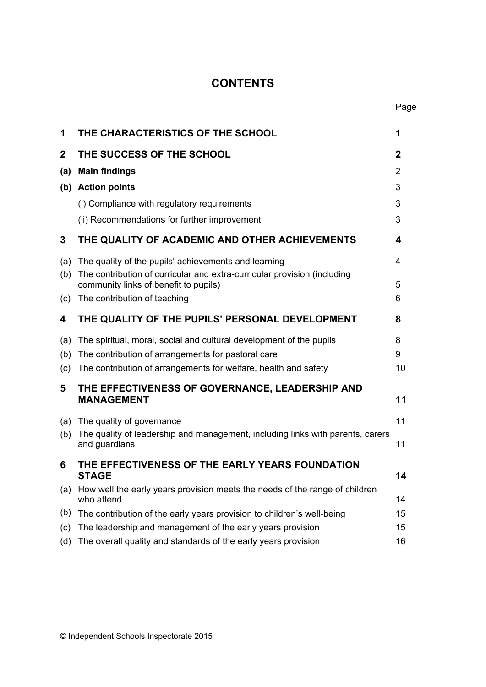# **CONTENTS**

Page

| 1            | THE CHARACTERISTICS OF THE SCHOOL                                                                                 | 1  |
|--------------|-------------------------------------------------------------------------------------------------------------------|----|
| $\mathbf{2}$ | THE SUCCESS OF THE SCHOOL                                                                                         | 2  |
| (a)          | <b>Main findings</b>                                                                                              | 2  |
|              | (b) Action points                                                                                                 | 3  |
|              | (i) Compliance with regulatory requirements                                                                       | 3  |
|              | (ii) Recommendations for further improvement                                                                      | 3  |
| 3            | THE QUALITY OF ACADEMIC AND OTHER ACHIEVEMENTS                                                                    | 4  |
| (a)          | The quality of the pupils' achievements and learning                                                              | 4  |
| (b)          | The contribution of curricular and extra-curricular provision (including<br>community links of benefit to pupils) | 5  |
| (c)          | The contribution of teaching                                                                                      | 6  |
| 4            | THE QUALITY OF THE PUPILS' PERSONAL DEVELOPMENT                                                                   | 8  |
| (a)          | The spiritual, moral, social and cultural development of the pupils                                               | 8  |
| (b)          | The contribution of arrangements for pastoral care                                                                | 9  |
| (c)          | The contribution of arrangements for welfare, health and safety                                                   | 10 |
| 5            | THE EFFECTIVENESS OF GOVERNANCE, LEADERSHIP AND<br><b>MANAGEMENT</b>                                              | 11 |
| (a)          | The quality of governance                                                                                         | 11 |
| (b)          | The quality of leadership and management, including links with parents, carers<br>and guardians                   | 11 |
| 6            | THE EFFECTIVENESS OF THE EARLY YEARS FOUNDATION<br><b>STAGE</b>                                                   | 14 |
| (a)          | How well the early years provision meets the needs of the range of children                                       |    |
|              | who attend                                                                                                        | 14 |
| (b)          | The contribution of the early years provision to children's well-being                                            | 15 |
| (c)          | The leadership and management of the early years provision                                                        | 15 |
| (d)          | The overall quality and standards of the early years provision                                                    | 16 |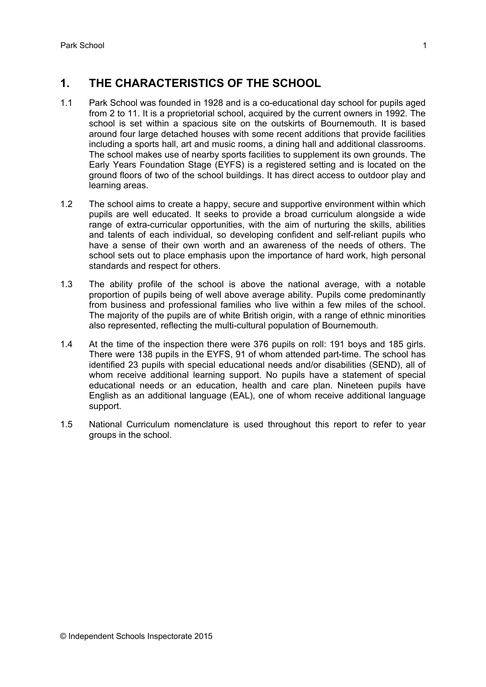# **1. THE CHARACTERISTICS OF THE SCHOOL**

- 1.1 Park School was founded in 1928 and is a co-educational day school for pupils aged from 2 to 11. It is a proprietorial school, acquired by the current owners in 1992. The school is set within a spacious site on the outskirts of Bournemouth. It is based around four large detached houses with some recent additions that provide facilities including a sports hall, art and music rooms, a dining hall and additional classrooms. The school makes use of nearby sports facilities to supplement its own grounds. The Early Years Foundation Stage (EYFS) is a registered setting and is located on the ground floors of two of the school buildings. It has direct access to outdoor play and learning areas.
- 1.2 The school aims to create a happy, secure and supportive environment within which pupils are well educated. It seeks to provide a broad curriculum alongside a wide range of extra-curricular opportunities, with the aim of nurturing the skills, abilities and talents of each individual, so developing confident and self-reliant pupils who have a sense of their own worth and an awareness of the needs of others. The school sets out to place emphasis upon the importance of hard work, high personal standards and respect for others.
- 1.3 The ability profile of the school is above the national average, with a notable proportion of pupils being of well above average ability. Pupils come predominantly from business and professional families who live within a few miles of the school. The majority of the pupils are of white British origin, with a range of ethnic minorities also represented, reflecting the multi-cultural population of Bournemouth.
- 1.4 At the time of the inspection there were 376 pupils on roll: 191 boys and 185 girls. There were 138 pupils in the EYFS, 91 of whom attended part-time. The school has identified 23 pupils with special educational needs and/or disabilities (SEND), all of whom receive additional learning support. No pupils have a statement of special educational needs or an education, health and care plan. Nineteen pupils have English as an additional language (EAL), one of whom receive additional language support.
- 1.5 National Curriculum nomenclature is used throughout this report to refer to year groups in the school.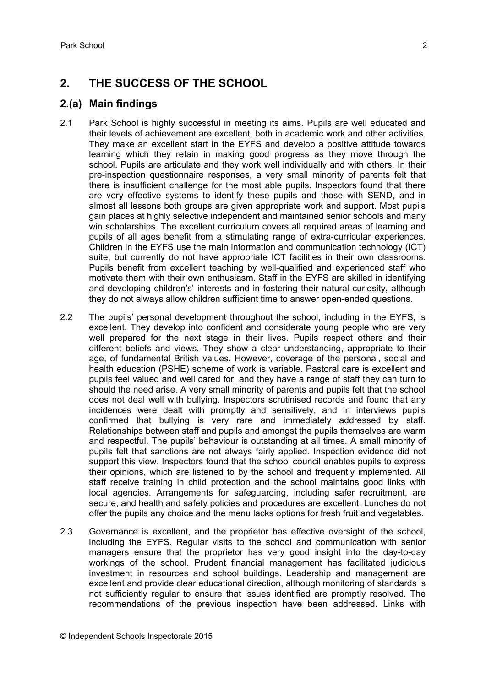# **2. THE SUCCESS OF THE SCHOOL**

## **2.(a) Main findings**

- 2.1 Park School is highly successful in meeting its aims. Pupils are well educated and their levels of achievement are excellent, both in academic work and other activities. They make an excellent start in the EYFS and develop a positive attitude towards learning which they retain in making good progress as they move through the school. Pupils are articulate and they work well individually and with others. In their pre-inspection questionnaire responses, a very small minority of parents felt that there is insufficient challenge for the most able pupils. Inspectors found that there are very effective systems to identify these pupils and those with SEND, and in almost all lessons both groups are given appropriate work and support. Most pupils gain places at highly selective independent and maintained senior schools and many win scholarships. The excellent curriculum covers all required areas of learning and pupils of all ages benefit from a stimulating range of extra-curricular experiences. Children in the EYFS use the main information and communication technology (ICT) suite, but currently do not have appropriate ICT facilities in their own classrooms. Pupils benefit from excellent teaching by well-qualified and experienced staff who motivate them with their own enthusiasm. Staff in the EYFS are skilled in identifying and developing children's' interests and in fostering their natural curiosity, although they do not always allow children sufficient time to answer open-ended questions.
- 2.2 The pupils' personal development throughout the school, including in the EYFS, is excellent. They develop into confident and considerate young people who are very well prepared for the next stage in their lives. Pupils respect others and their different beliefs and views. They show a clear understanding, appropriate to their age, of fundamental British values. However, coverage of the personal, social and health education (PSHE) scheme of work is variable. Pastoral care is excellent and pupils feel valued and well cared for, and they have a range of staff they can turn to should the need arise. A very small minority of parents and pupils felt that the school does not deal well with bullying. Inspectors scrutinised records and found that any incidences were dealt with promptly and sensitively, and in interviews pupils confirmed that bullying is very rare and immediately addressed by staff. Relationships between staff and pupils and amongst the pupils themselves are warm and respectful. The pupils' behaviour is outstanding at all times. A small minority of pupils felt that sanctions are not always fairly applied. Inspection evidence did not support this view. Inspectors found that the school council enables pupils to express their opinions, which are listened to by the school and frequently implemented. All staff receive training in child protection and the school maintains good links with local agencies. Arrangements for safeguarding, including safer recruitment, are secure, and health and safety policies and procedures are excellent. Lunches do not offer the pupils any choice and the menu lacks options for fresh fruit and vegetables.
- 2.3 Governance is excellent, and the proprietor has effective oversight of the school, including the EYFS. Regular visits to the school and communication with senior managers ensure that the proprietor has very good insight into the day-to-day workings of the school. Prudent financial management has facilitated judicious investment in resources and school buildings. Leadership and management are excellent and provide clear educational direction, although monitoring of standards is not sufficiently regular to ensure that issues identified are promptly resolved. The recommendations of the previous inspection have been addressed. Links with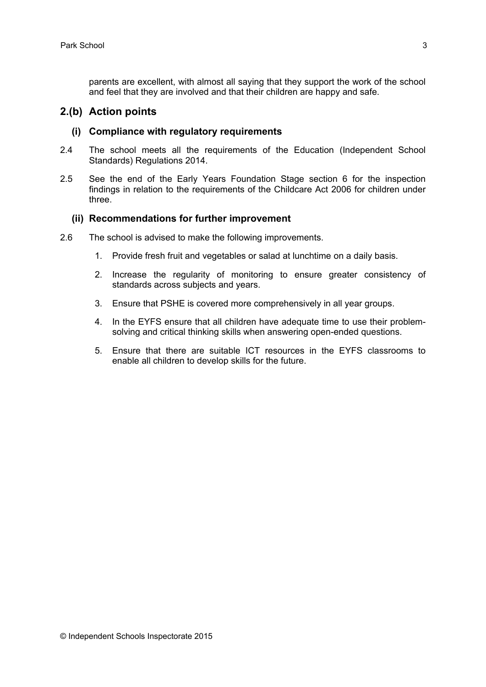parents are excellent, with almost all saying that they support the work of the school and feel that they are involved and that their children are happy and safe.

#### **2.(b) Action points**

#### **(i) Compliance with regulatory requirements**

- 2.4 The school meets all the requirements of the Education (Independent School Standards) Regulations 2014.
- 2.5 See the end of the Early Years Foundation Stage section 6 for the inspection findings in relation to the requirements of the Childcare Act 2006 for children under three.

#### **(ii) Recommendations for further improvement**

- 2.6 The school is advised to make the following improvements.
	- 1. Provide fresh fruit and vegetables or salad at lunchtime on a daily basis.
	- 2. Increase the regularity of monitoring to ensure greater consistency of standards across subjects and years.
	- 3. Ensure that PSHE is covered more comprehensively in all year groups.
	- 4. In the EYFS ensure that all children have adequate time to use their problemsolving and critical thinking skills when answering open-ended questions.
	- 5. Ensure that there are suitable ICT resources in the EYFS classrooms to enable all children to develop skills for the future.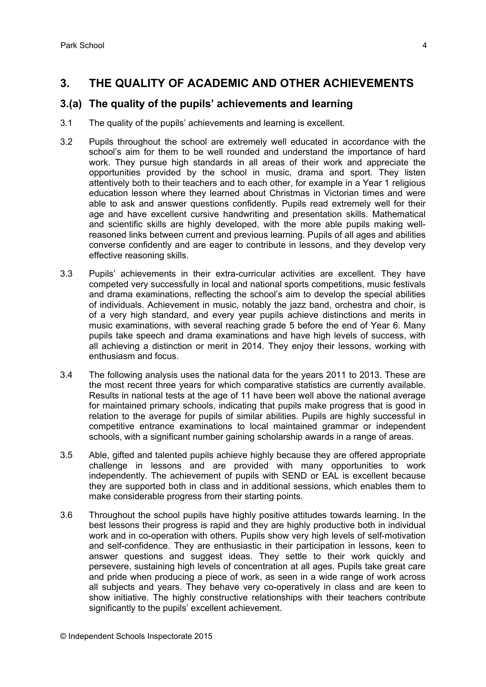# **3. THE QUALITY OF ACADEMIC AND OTHER ACHIEVEMENTS**

## **3.(a) The quality of the pupils' achievements and learning**

- 3.1 The quality of the pupils' achievements and learning is excellent.
- 3.2 Pupils throughout the school are extremely well educated in accordance with the school's aim for them to be well rounded and understand the importance of hard work. They pursue high standards in all areas of their work and appreciate the opportunities provided by the school in music, drama and sport. They listen attentively both to their teachers and to each other, for example in a Year 1 religious education lesson where they learned about Christmas in Victorian times and were able to ask and answer questions confidently. Pupils read extremely well for their age and have excellent cursive handwriting and presentation skills. Mathematical and scientific skills are highly developed, with the more able pupils making wellreasoned links between current and previous learning. Pupils of all ages and abilities converse confidently and are eager to contribute in lessons, and they develop very effective reasoning skills.
- 3.3 Pupils' achievements in their extra-curricular activities are excellent. They have competed very successfully in local and national sports competitions, music festivals and drama examinations, reflecting the school's aim to develop the special abilities of individuals. Achievement in music, notably the jazz band, orchestra and choir, is of a very high standard, and every year pupils achieve distinctions and merits in music examinations, with several reaching grade 5 before the end of Year 6. Many pupils take speech and drama examinations and have high levels of success, with all achieving a distinction or merit in 2014. They enjoy their lessons, working with enthusiasm and focus.
- 3.4 The following analysis uses the national data for the years 2011 to 2013. These are the most recent three years for which comparative statistics are currently available. Results in national tests at the age of 11 have been well above the national average for maintained primary schools, indicating that pupils make progress that is good in relation to the average for pupils of similar abilities. Pupils are highly successful in competitive entrance examinations to local maintained grammar or independent schools, with a significant number gaining scholarship awards in a range of areas.
- 3.5 Able, gifted and talented pupils achieve highly because they are offered appropriate challenge in lessons and are provided with many opportunities to work independently. The achievement of pupils with SEND or EAL is excellent because they are supported both in class and in additional sessions, which enables them to make considerable progress from their starting points.
- 3.6 Throughout the school pupils have highly positive attitudes towards learning. In the best lessons their progress is rapid and they are highly productive both in individual work and in co-operation with others. Pupils show very high levels of self-motivation and self-confidence. They are enthusiastic in their participation in lessons, keen to answer questions and suggest ideas. They settle to their work quickly and persevere, sustaining high levels of concentration at all ages. Pupils take great care and pride when producing a piece of work, as seen in a wide range of work across all subjects and years. They behave very co-operatively in class and are keen to show initiative. The highly constructive relationships with their teachers contribute significantly to the pupils' excellent achievement.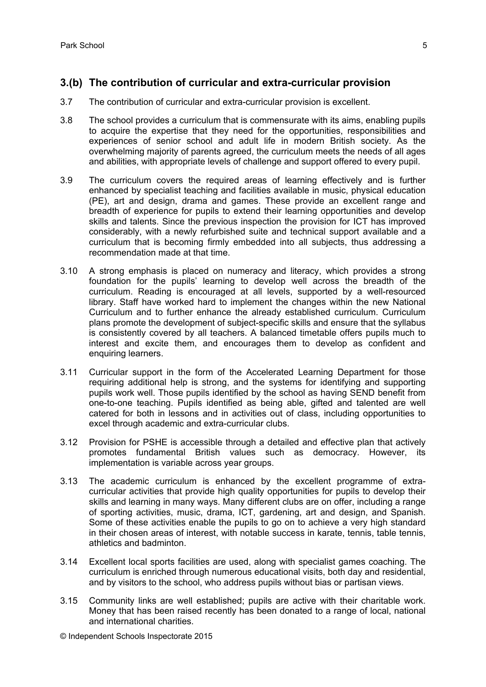## **3.(b) The contribution of curricular and extra-curricular provision**

- 3.7 The contribution of curricular and extra-curricular provision is excellent.
- 3.8 The school provides a curriculum that is commensurate with its aims, enabling pupils to acquire the expertise that they need for the opportunities, responsibilities and experiences of senior school and adult life in modern British society. As the overwhelming majority of parents agreed, the curriculum meets the needs of all ages and abilities, with appropriate levels of challenge and support offered to every pupil.
- 3.9 The curriculum covers the required areas of learning effectively and is further enhanced by specialist teaching and facilities available in music, physical education (PE), art and design, drama and games. These provide an excellent range and breadth of experience for pupils to extend their learning opportunities and develop skills and talents. Since the previous inspection the provision for ICT has improved considerably, with a newly refurbished suite and technical support available and a curriculum that is becoming firmly embedded into all subjects, thus addressing a recommendation made at that time.
- 3.10 A strong emphasis is placed on numeracy and literacy, which provides a strong foundation for the pupils' learning to develop well across the breadth of the curriculum. Reading is encouraged at all levels, supported by a well-resourced library. Staff have worked hard to implement the changes within the new National Curriculum and to further enhance the already established curriculum. Curriculum plans promote the development of subject-specific skills and ensure that the syllabus is consistently covered by all teachers. A balanced timetable offers pupils much to interest and excite them, and encourages them to develop as confident and enquiring learners.
- 3.11 Curricular support in the form of the Accelerated Learning Department for those requiring additional help is strong, and the systems for identifying and supporting pupils work well. Those pupils identified by the school as having SEND benefit from one-to-one teaching. Pupils identified as being able, gifted and talented are well catered for both in lessons and in activities out of class, including opportunities to excel through academic and extra-curricular clubs.
- 3.12 Provision for PSHE is accessible through a detailed and effective plan that actively promotes fundamental British values such as democracy. However, its implementation is variable across year groups.
- 3.13 The academic curriculum is enhanced by the excellent programme of extracurricular activities that provide high quality opportunities for pupils to develop their skills and learning in many ways. Many different clubs are on offer, including a range of sporting activities, music, drama, ICT, gardening, art and design, and Spanish. Some of these activities enable the pupils to go on to achieve a very high standard in their chosen areas of interest, with notable success in karate, tennis, table tennis, athletics and badminton.
- 3.14 Excellent local sports facilities are used, along with specialist games coaching. The curriculum is enriched through numerous educational visits, both day and residential, and by visitors to the school, who address pupils without bias or partisan views.
- 3.15 Community links are well established; pupils are active with their charitable work. Money that has been raised recently has been donated to a range of local, national and international charities.

© Independent Schools Inspectorate 2015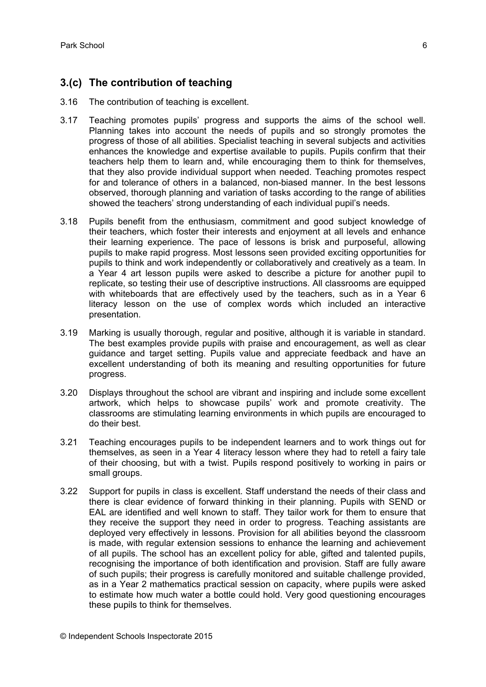## **3.(c) The contribution of teaching**

- 3.16 The contribution of teaching is excellent.
- 3.17 Teaching promotes pupils' progress and supports the aims of the school well. Planning takes into account the needs of pupils and so strongly promotes the progress of those of all abilities. Specialist teaching in several subjects and activities enhances the knowledge and expertise available to pupils. Pupils confirm that their teachers help them to learn and, while encouraging them to think for themselves, that they also provide individual support when needed. Teaching promotes respect for and tolerance of others in a balanced, non-biased manner. In the best lessons observed, thorough planning and variation of tasks according to the range of abilities showed the teachers' strong understanding of each individual pupil's needs.
- 3.18 Pupils benefit from the enthusiasm, commitment and good subject knowledge of their teachers, which foster their interests and enjoyment at all levels and enhance their learning experience. The pace of lessons is brisk and purposeful, allowing pupils to make rapid progress. Most lessons seen provided exciting opportunities for pupils to think and work independently or collaboratively and creatively as a team. In a Year 4 art lesson pupils were asked to describe a picture for another pupil to replicate, so testing their use of descriptive instructions. All classrooms are equipped with whiteboards that are effectively used by the teachers, such as in a Year 6 literacy lesson on the use of complex words which included an interactive presentation.
- 3.19 Marking is usually thorough, regular and positive, although it is variable in standard. The best examples provide pupils with praise and encouragement, as well as clear guidance and target setting. Pupils value and appreciate feedback and have an excellent understanding of both its meaning and resulting opportunities for future progress.
- 3.20 Displays throughout the school are vibrant and inspiring and include some excellent artwork, which helps to showcase pupils' work and promote creativity. The classrooms are stimulating learning environments in which pupils are encouraged to do their best.
- 3.21 Teaching encourages pupils to be independent learners and to work things out for themselves, as seen in a Year 4 literacy lesson where they had to retell a fairy tale of their choosing, but with a twist. Pupils respond positively to working in pairs or small groups.
- 3.22 Support for pupils in class is excellent. Staff understand the needs of their class and there is clear evidence of forward thinking in their planning. Pupils with SEND or EAL are identified and well known to staff. They tailor work for them to ensure that they receive the support they need in order to progress. Teaching assistants are deployed very effectively in lessons. Provision for all abilities beyond the classroom is made, with regular extension sessions to enhance the learning and achievement of all pupils. The school has an excellent policy for able, gifted and talented pupils, recognising the importance of both identification and provision. Staff are fully aware of such pupils; their progress is carefully monitored and suitable challenge provided, as in a Year 2 mathematics practical session on capacity, where pupils were asked to estimate how much water a bottle could hold. Very good questioning encourages these pupils to think for themselves.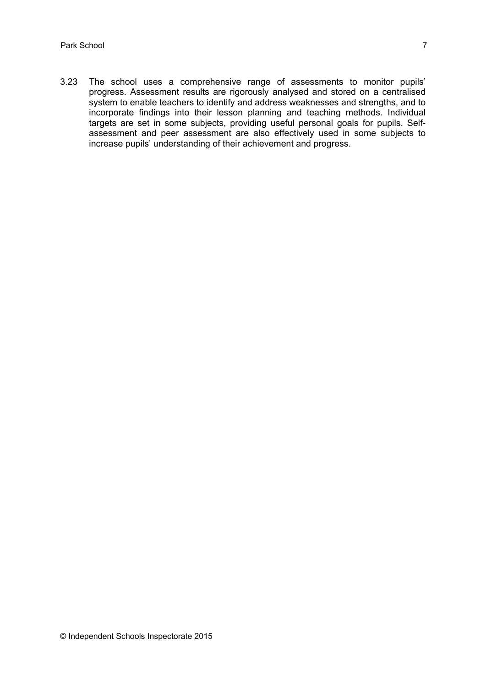3.23 The school uses a comprehensive range of assessments to monitor pupils' progress. Assessment results are rigorously analysed and stored on a centralised system to enable teachers to identify and address weaknesses and strengths, and to incorporate findings into their lesson planning and teaching methods. Individual targets are set in some subjects, providing useful personal goals for pupils. Selfassessment and peer assessment are also effectively used in some subjects to increase pupils' understanding of their achievement and progress.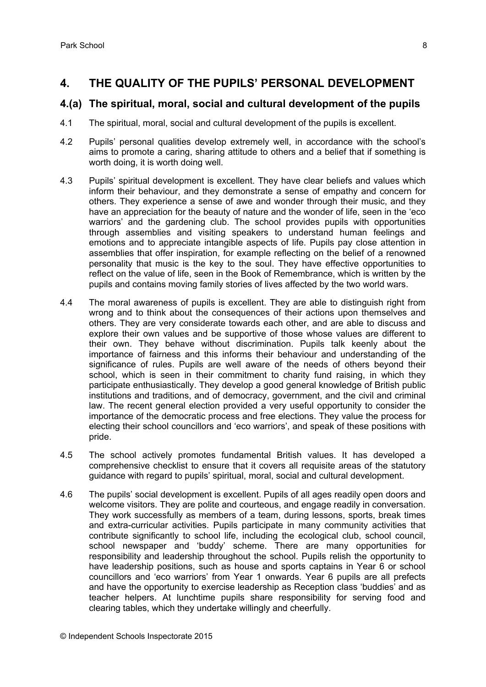# **4. THE QUALITY OF THE PUPILS' PERSONAL DEVELOPMENT**

#### **4.(a) The spiritual, moral, social and cultural development of the pupils**

- 4.1 The spiritual, moral, social and cultural development of the pupils is excellent.
- 4.2 Pupils' personal qualities develop extremely well, in accordance with the school's aims to promote a caring, sharing attitude to others and a belief that if something is worth doing, it is worth doing well.
- 4.3 Pupils' spiritual development is excellent. They have clear beliefs and values which inform their behaviour, and they demonstrate a sense of empathy and concern for others. They experience a sense of awe and wonder through their music, and they have an appreciation for the beauty of nature and the wonder of life, seen in the 'eco warriors' and the gardening club. The school provides pupils with opportunities through assemblies and visiting speakers to understand human feelings and emotions and to appreciate intangible aspects of life. Pupils pay close attention in assemblies that offer inspiration, for example reflecting on the belief of a renowned personality that music is the key to the soul. They have effective opportunities to reflect on the value of life, seen in the Book of Remembrance, which is written by the pupils and contains moving family stories of lives affected by the two world wars.
- 4.4 The moral awareness of pupils is excellent. They are able to distinguish right from wrong and to think about the consequences of their actions upon themselves and others. They are very considerate towards each other, and are able to discuss and explore their own values and be supportive of those whose values are different to their own. They behave without discrimination. Pupils talk keenly about the importance of fairness and this informs their behaviour and understanding of the significance of rules. Pupils are well aware of the needs of others beyond their school, which is seen in their commitment to charity fund raising, in which they participate enthusiastically. They develop a good general knowledge of British public institutions and traditions, and of democracy, government, and the civil and criminal law. The recent general election provided a very useful opportunity to consider the importance of the democratic process and free elections. They value the process for electing their school councillors and 'eco warriors', and speak of these positions with pride.
- 4.5 The school actively promotes fundamental British values. It has developed a comprehensive checklist to ensure that it covers all requisite areas of the statutory guidance with regard to pupils' spiritual, moral, social and cultural development.
- 4.6 The pupils' social development is excellent. Pupils of all ages readily open doors and welcome visitors. They are polite and courteous, and engage readily in conversation. They work successfully as members of a team, during lessons, sports, break times and extra-curricular activities. Pupils participate in many community activities that contribute significantly to school life, including the ecological club, school council, school newspaper and 'buddy' scheme. There are many opportunities for responsibility and leadership throughout the school. Pupils relish the opportunity to have leadership positions, such as house and sports captains in Year 6 or school councillors and 'eco warriors' from Year 1 onwards. Year 6 pupils are all prefects and have the opportunity to exercise leadership as Reception class 'buddies' and as teacher helpers. At lunchtime pupils share responsibility for serving food and clearing tables, which they undertake willingly and cheerfully.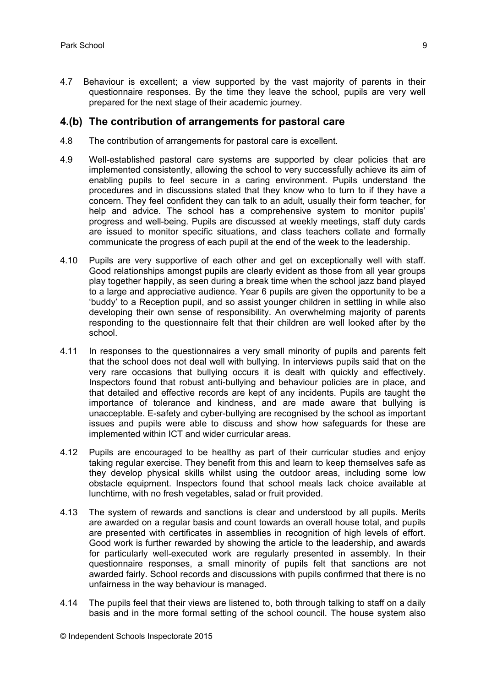4.7 Behaviour is excellent; a view supported by the vast majority of parents in their questionnaire responses. By the time they leave the school, pupils are very well prepared for the next stage of their academic journey.

#### **4.(b) The contribution of arrangements for pastoral care**

- 4.8 The contribution of arrangements for pastoral care is excellent.
- 4.9 Well-established pastoral care systems are supported by clear policies that are implemented consistently, allowing the school to very successfully achieve its aim of enabling pupils to feel secure in a caring environment. Pupils understand the procedures and in discussions stated that they know who to turn to if they have a concern. They feel confident they can talk to an adult, usually their form teacher, for help and advice. The school has a comprehensive system to monitor pupils' progress and well-being. Pupils are discussed at weekly meetings, staff duty cards are issued to monitor specific situations, and class teachers collate and formally communicate the progress of each pupil at the end of the week to the leadership.
- 4.10 Pupils are very supportive of each other and get on exceptionally well with staff. Good relationships amongst pupils are clearly evident as those from all year groups play together happily, as seen during a break time when the school jazz band played to a large and appreciative audience. Year 6 pupils are given the opportunity to be a 'buddy' to a Reception pupil, and so assist younger children in settling in while also developing their own sense of responsibility. An overwhelming majority of parents responding to the questionnaire felt that their children are well looked after by the school.
- 4.11 In responses to the questionnaires a very small minority of pupils and parents felt that the school does not deal well with bullying. In interviews pupils said that on the very rare occasions that bullying occurs it is dealt with quickly and effectively. Inspectors found that robust anti-bullying and behaviour policies are in place, and that detailed and effective records are kept of any incidents. Pupils are taught the importance of tolerance and kindness, and are made aware that bullying is unacceptable. E-safety and cyber-bullying are recognised by the school as important issues and pupils were able to discuss and show how safeguards for these are implemented within ICT and wider curricular areas.
- 4.12 Pupils are encouraged to be healthy as part of their curricular studies and enjoy taking regular exercise. They benefit from this and learn to keep themselves safe as they develop physical skills whilst using the outdoor areas, including some low obstacle equipment. Inspectors found that school meals lack choice available at lunchtime, with no fresh vegetables, salad or fruit provided.
- 4.13 The system of rewards and sanctions is clear and understood by all pupils. Merits are awarded on a regular basis and count towards an overall house total, and pupils are presented with certificates in assemblies in recognition of high levels of effort. Good work is further rewarded by showing the article to the leadership, and awards for particularly well-executed work are regularly presented in assembly. In their questionnaire responses, a small minority of pupils felt that sanctions are not awarded fairly. School records and discussions with pupils confirmed that there is no unfairness in the way behaviour is managed.
- 4.14 The pupils feel that their views are listened to, both through talking to staff on a daily basis and in the more formal setting of the school council. The house system also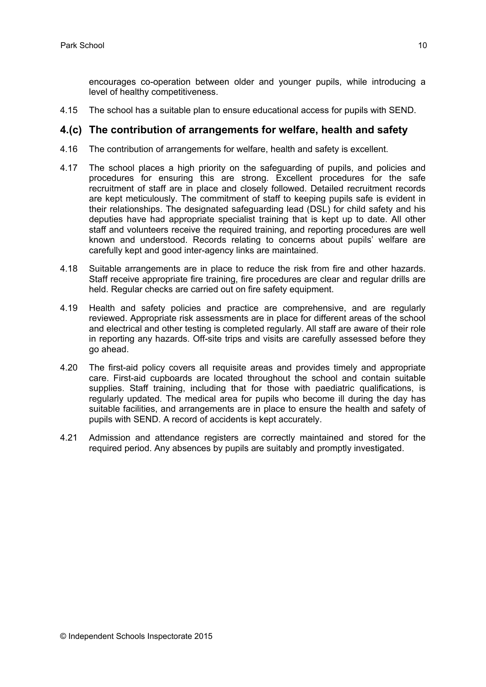encourages co-operation between older and younger pupils, while introducing a level of healthy competitiveness.

4.15 The school has a suitable plan to ensure educational access for pupils with SEND.

#### **4.(c) The contribution of arrangements for welfare, health and safety**

- 4.16 The contribution of arrangements for welfare, health and safety is excellent.
- 4.17 The school places a high priority on the safeguarding of pupils, and policies and procedures for ensuring this are strong. Excellent procedures for the safe recruitment of staff are in place and closely followed. Detailed recruitment records are kept meticulously. The commitment of staff to keeping pupils safe is evident in their relationships. The designated safeguarding lead (DSL) for child safety and his deputies have had appropriate specialist training that is kept up to date. All other staff and volunteers receive the required training, and reporting procedures are well known and understood. Records relating to concerns about pupils' welfare are carefully kept and good inter-agency links are maintained.
- 4.18 Suitable arrangements are in place to reduce the risk from fire and other hazards. Staff receive appropriate fire training, fire procedures are clear and regular drills are held. Regular checks are carried out on fire safety equipment.
- 4.19 Health and safety policies and practice are comprehensive, and are regularly reviewed. Appropriate risk assessments are in place for different areas of the school and electrical and other testing is completed regularly. All staff are aware of their role in reporting any hazards. Off-site trips and visits are carefully assessed before they go ahead.
- 4.20 The first-aid policy covers all requisite areas and provides timely and appropriate care. First-aid cupboards are located throughout the school and contain suitable supplies. Staff training, including that for those with paediatric qualifications, is regularly updated. The medical area for pupils who become ill during the day has suitable facilities, and arrangements are in place to ensure the health and safety of pupils with SEND. A record of accidents is kept accurately.
- 4.21 Admission and attendance registers are correctly maintained and stored for the required period. Any absences by pupils are suitably and promptly investigated.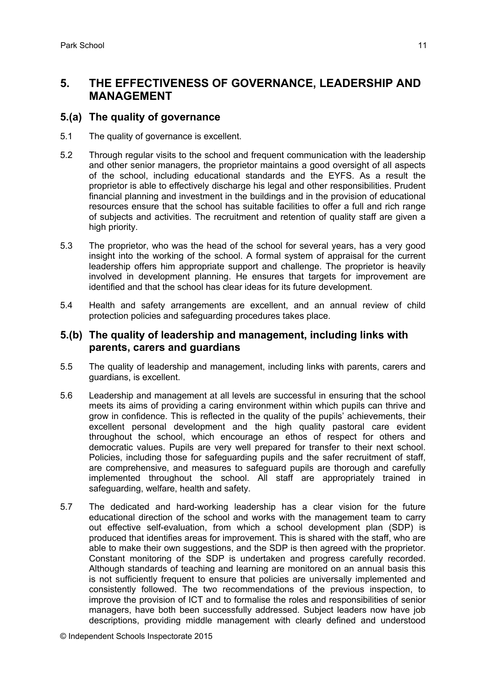## **5. THE EFFECTIVENESS OF GOVERNANCE, LEADERSHIP AND MANAGEMENT**

#### **5.(a) The quality of governance**

- 5.1 The quality of governance is excellent.
- 5.2 Through regular visits to the school and frequent communication with the leadership and other senior managers, the proprietor maintains a good oversight of all aspects of the school, including educational standards and the EYFS. As a result the proprietor is able to effectively discharge his legal and other responsibilities. Prudent financial planning and investment in the buildings and in the provision of educational resources ensure that the school has suitable facilities to offer a full and rich range of subjects and activities. The recruitment and retention of quality staff are given a high priority.
- 5.3 The proprietor, who was the head of the school for several years, has a very good insight into the working of the school. A formal system of appraisal for the current leadership offers him appropriate support and challenge. The proprietor is heavily involved in development planning. He ensures that targets for improvement are identified and that the school has clear ideas for its future development.
- 5.4 Health and safety arrangements are excellent, and an annual review of child protection policies and safeguarding procedures takes place.

#### **5.(b) The quality of leadership and management, including links with parents, carers and guardians**

- 5.5 The quality of leadership and management, including links with parents, carers and guardians, is excellent.
- 5.6 Leadership and management at all levels are successful in ensuring that the school meets its aims of providing a caring environment within which pupils can thrive and grow in confidence. This is reflected in the quality of the pupils' achievements, their excellent personal development and the high quality pastoral care evident throughout the school, which encourage an ethos of respect for others and democratic values. Pupils are very well prepared for transfer to their next school. Policies, including those for safeguarding pupils and the safer recruitment of staff, are comprehensive, and measures to safeguard pupils are thorough and carefully implemented throughout the school. All staff are appropriately trained in safeguarding, welfare, health and safety.
- 5.7 The dedicated and hard-working leadership has a clear vision for the future educational direction of the school and works with the management team to carry out effective self-evaluation, from which a school development plan (SDP) is produced that identifies areas for improvement. This is shared with the staff, who are able to make their own suggestions, and the SDP is then agreed with the proprietor. Constant monitoring of the SDP is undertaken and progress carefully recorded. Although standards of teaching and learning are monitored on an annual basis this is not sufficiently frequent to ensure that policies are universally implemented and consistently followed. The two recommendations of the previous inspection, to improve the provision of ICT and to formalise the roles and responsibilities of senior managers, have both been successfully addressed. Subject leaders now have job descriptions, providing middle management with clearly defined and understood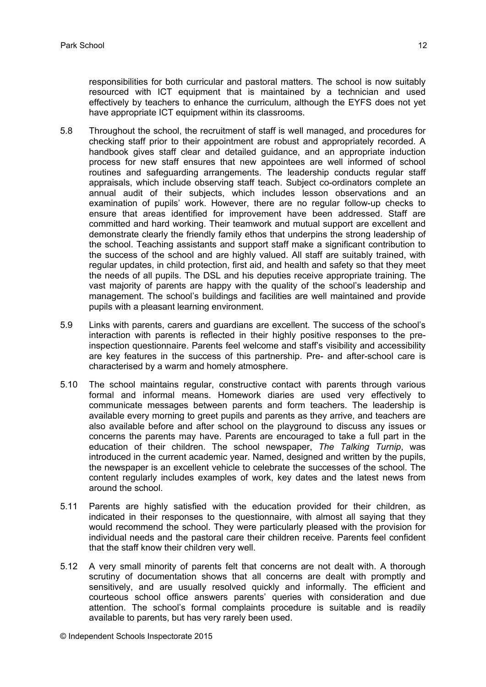responsibilities for both curricular and pastoral matters. The school is now suitably resourced with ICT equipment that is maintained by a technician and used effectively by teachers to enhance the curriculum, although the EYFS does not yet have appropriate ICT equipment within its classrooms.

- 5.8 Throughout the school, the recruitment of staff is well managed, and procedures for checking staff prior to their appointment are robust and appropriately recorded. A handbook gives staff clear and detailed guidance, and an appropriate induction process for new staff ensures that new appointees are well informed of school routines and safeguarding arrangements. The leadership conducts regular staff appraisals, which include observing staff teach. Subject co-ordinators complete an annual audit of their subjects, which includes lesson observations and an examination of pupils' work. However, there are no regular follow-up checks to ensure that areas identified for improvement have been addressed. Staff are committed and hard working. Their teamwork and mutual support are excellent and demonstrate clearly the friendly family ethos that underpins the strong leadership of the school. Teaching assistants and support staff make a significant contribution to the success of the school and are highly valued. All staff are suitably trained, with regular updates, in child protection, first aid, and health and safety so that they meet the needs of all pupils. The DSL and his deputies receive appropriate training. The vast majority of parents are happy with the quality of the school's leadership and management. The school's buildings and facilities are well maintained and provide pupils with a pleasant learning environment.
- 5.9 Links with parents, carers and guardians are excellent. The success of the school's interaction with parents is reflected in their highly positive responses to the preinspection questionnaire. Parents feel welcome and staff's visibility and accessibility are key features in the success of this partnership. Pre- and after-school care is characterised by a warm and homely atmosphere.
- 5.10 The school maintains regular, constructive contact with parents through various formal and informal means. Homework diaries are used very effectively to communicate messages between parents and form teachers. The leadership is available every morning to greet pupils and parents as they arrive, and teachers are also available before and after school on the playground to discuss any issues or concerns the parents may have. Parents are encouraged to take a full part in the education of their children. The school newspaper, *The Talking Turnip*, was introduced in the current academic year. Named, designed and written by the pupils, the newspaper is an excellent vehicle to celebrate the successes of the school. The content regularly includes examples of work, key dates and the latest news from around the school.
- 5.11 Parents are highly satisfied with the education provided for their children, as indicated in their responses to the questionnaire, with almost all saying that they would recommend the school. They were particularly pleased with the provision for individual needs and the pastoral care their children receive. Parents feel confident that the staff know their children very well.
- 5.12 A very small minority of parents felt that concerns are not dealt with. A thorough scrutiny of documentation shows that all concerns are dealt with promptly and sensitively, and are usually resolved quickly and informally. The efficient and courteous school office answers parents' queries with consideration and due attention. The school's formal complaints procedure is suitable and is readily available to parents, but has very rarely been used.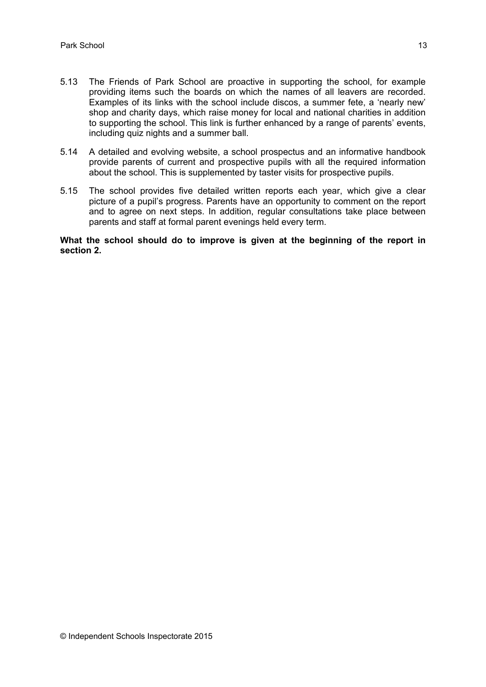- 5.13 The Friends of Park School are proactive in supporting the school, for example providing items such the boards on which the names of all leavers are recorded. Examples of its links with the school include discos, a summer fete, a 'nearly new' shop and charity days, which raise money for local and national charities in addition to supporting the school. This link is further enhanced by a range of parents' events, including quiz nights and a summer ball.
- 5.14 A detailed and evolving website, a school prospectus and an informative handbook provide parents of current and prospective pupils with all the required information about the school. This is supplemented by taster visits for prospective pupils.
- 5.15 The school provides five detailed written reports each year, which give a clear picture of a pupil's progress. Parents have an opportunity to comment on the report and to agree on next steps. In addition, regular consultations take place between parents and staff at formal parent evenings held every term.

**What the school should do to improve is given at the beginning of the report in section 2.**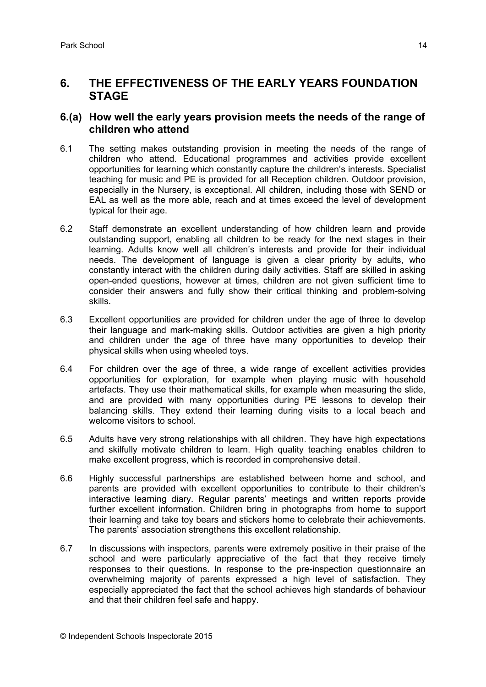## **6. THE EFFECTIVENESS OF THE EARLY YEARS FOUNDATION STAGE**

#### **6.(a) How well the early years provision meets the needs of the range of children who attend**

- 6.1 The setting makes outstanding provision in meeting the needs of the range of children who attend. Educational programmes and activities provide excellent opportunities for learning which constantly capture the children's interests. Specialist teaching for music and PE is provided for all Reception children. Outdoor provision, especially in the Nursery, is exceptional. All children, including those with SEND or EAL as well as the more able, reach and at times exceed the level of development typical for their age.
- 6.2 Staff demonstrate an excellent understanding of how children learn and provide outstanding support, enabling all children to be ready for the next stages in their learning. Adults know well all children's interests and provide for their individual needs. The development of language is given a clear priority by adults, who constantly interact with the children during daily activities. Staff are skilled in asking open-ended questions, however at times, children are not given sufficient time to consider their answers and fully show their critical thinking and problem-solving skills.
- 6.3 Excellent opportunities are provided for children under the age of three to develop their language and mark-making skills. Outdoor activities are given a high priority and children under the age of three have many opportunities to develop their physical skills when using wheeled toys.
- 6.4 For children over the age of three, a wide range of excellent activities provides opportunities for exploration, for example when playing music with household artefacts. They use their mathematical skills, for example when measuring the slide, and are provided with many opportunities during PE lessons to develop their balancing skills. They extend their learning during visits to a local beach and welcome visitors to school.
- 6.5 Adults have very strong relationships with all children. They have high expectations and skilfully motivate children to learn. High quality teaching enables children to make excellent progress, which is recorded in comprehensive detail.
- 6.6 Highly successful partnerships are established between home and school, and parents are provided with excellent opportunities to contribute to their children's interactive learning diary. Regular parents' meetings and written reports provide further excellent information. Children bring in photographs from home to support their learning and take toy bears and stickers home to celebrate their achievements. The parents' association strengthens this excellent relationship.
- 6.7 In discussions with inspectors, parents were extremely positive in their praise of the school and were particularly appreciative of the fact that they receive timely responses to their questions. In response to the pre-inspection questionnaire an overwhelming majority of parents expressed a high level of satisfaction. They especially appreciated the fact that the school achieves high standards of behaviour and that their children feel safe and happy.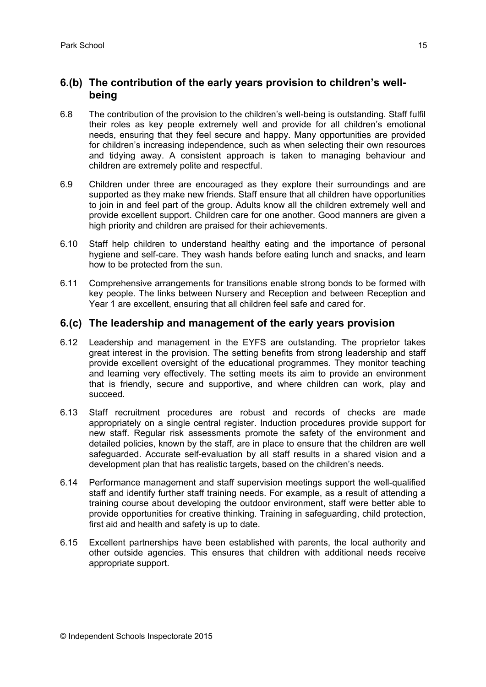## **6.(b) The contribution of the early years provision to children's wellbeing**

- 6.8 The contribution of the provision to the children's well-being is outstanding. Staff fulfil their roles as key people extremely well and provide for all children's emotional needs, ensuring that they feel secure and happy. Many opportunities are provided for children's increasing independence, such as when selecting their own resources and tidying away. A consistent approach is taken to managing behaviour and children are extremely polite and respectful.
- 6.9 Children under three are encouraged as they explore their surroundings and are supported as they make new friends. Staff ensure that all children have opportunities to join in and feel part of the group. Adults know all the children extremely well and provide excellent support. Children care for one another. Good manners are given a high priority and children are praised for their achievements.
- 6.10 Staff help children to understand healthy eating and the importance of personal hygiene and self-care. They wash hands before eating lunch and snacks, and learn how to be protected from the sun.
- 6.11 Comprehensive arrangements for transitions enable strong bonds to be formed with key people. The links between Nursery and Reception and between Reception and Year 1 are excellent, ensuring that all children feel safe and cared for.

#### **6.(c) The leadership and management of the early years provision**

- 6.12 Leadership and management in the EYFS are outstanding. The proprietor takes great interest in the provision. The setting benefits from strong leadership and staff provide excellent oversight of the educational programmes. They monitor teaching and learning very effectively. The setting meets its aim to provide an environment that is friendly, secure and supportive, and where children can work, play and succeed.
- 6.13 Staff recruitment procedures are robust and records of checks are made appropriately on a single central register. Induction procedures provide support for new staff. Regular risk assessments promote the safety of the environment and detailed policies, known by the staff, are in place to ensure that the children are well safeguarded. Accurate self-evaluation by all staff results in a shared vision and a development plan that has realistic targets, based on the children's needs.
- 6.14 Performance management and staff supervision meetings support the well-qualified staff and identify further staff training needs. For example, as a result of attending a training course about developing the outdoor environment, staff were better able to provide opportunities for creative thinking. Training in safeguarding, child protection, first aid and health and safety is up to date.
- 6.15 Excellent partnerships have been established with parents, the local authority and other outside agencies. This ensures that children with additional needs receive appropriate support.